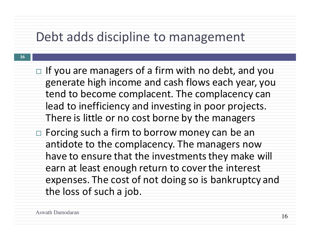### Debt adds discipline to management

- $\Box$  If you are managers of a firm with no debt, and you generate high income and cash flows each year, you tend to become complacent. The complacency can lead to inefficiency and investing in poor projects. There is little or no cost borne by the managers
- Forcing such a firm to borrow money can be an antidote to the complacency. The managers now have to ensure that the investments they make will earn at least enough return to cover the interest expenses. The cost of not doing so is bankruptcy and the loss of such a job.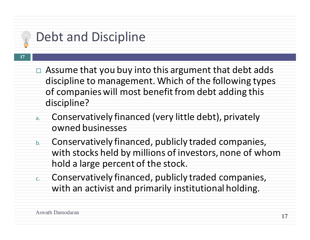# Debt and Discipline

- $\Box$  Assume that you buy into this argument that debt adds discipline to management. Which of the following types of companies will most benefit from debt adding this discipline?
- a. Conservatively financed (very little debt), privately owned businesses
- b. Conservatively financed, publicly traded companies, with stocks held by millions of investors, none of whom hold a large percent of the stock.
- c. Conservatively financed, publicly traded companies, with an activist and primarily institutional holding.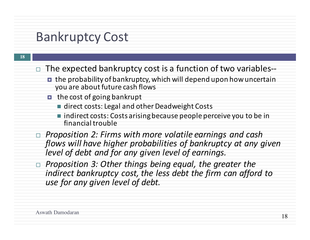### **Bankruptcy Cost**

- The expected bankruptcy cost is a function of two variables--
	- $\blacksquare$  the probability of bankruptcy, which will depend upon how uncertain you are about future cash flows
	- $\blacksquare$  the cost of going bankrupt
		- direct costs: Legal and other Deadweight Costs
		- $\blacksquare$  indirect costs: Costs arising because people perceive you to be in financial trouble
- □ *Proposition 2: Firms with more volatile earnings and cash* flows will have higher probabilities of bankruptcy at any given *level* of debt and for any given level of earnings.
- *Proposition 3: Other things being equal, the greater the indirect bankruptcy cost, the less debt the firm can afford to use for any given level of debt.*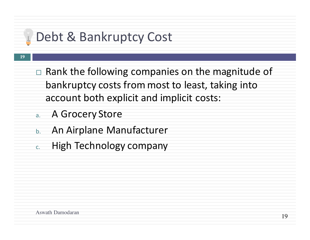# Debt & Bankruptcy Cost

- $\Box$  Rank the following companies on the magnitude of bankruptcy costs from most to least, taking into account both explicit and implicit costs:
- a. A Grocery Store
- b. An Airplane Manufacturer
- c. High Technology company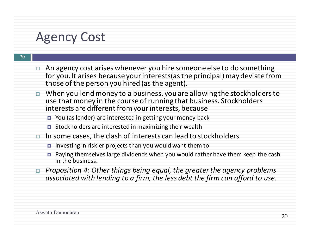#### **Agency Cost**

| $\Box$ An agency cost arises whenever you hire someone else to do something   |
|-------------------------------------------------------------------------------|
| for you. It arises because your interests (as the principal) may deviate from |
| those of the person you hired (as the agent).                                 |

- When you lend money to a business, you are allowing the stockholders to use that money in the course of running that business. Stockholders interests are different from your interests, because
	- $\blacksquare$  You (as lender) are interested in getting your money back
	- $\blacksquare$  Stockholders are interested in maximizing their wealth
- $\Box$  In some cases, the clash of interests can lead to stockholders
	- $\blacksquare$  Investing in riskier projects than you would want them to
	- Paying themselves large dividends when you would rather have them keep the cash in the business.
- □ Proposition 4: Other things being equal, the greater the agency problems associated with lending to a firm, the less debt the firm can afford to use.